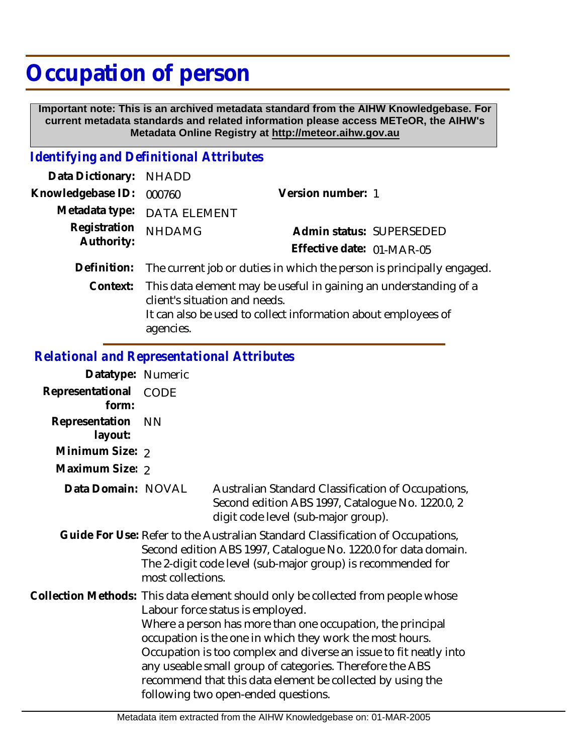## **Occupation of person**

 **Important note: This is an archived metadata standard from the AIHW Knowledgebase. For current metadata standards and related information please access METeOR, the AIHW's Metadata Online Registry at http://meteor.aihw.gov.au**

## *Identifying and Definitional Attributes*

| Data Dictionary:           | NHADD                         |                                                                                                                                   |
|----------------------------|-------------------------------|-----------------------------------------------------------------------------------------------------------------------------------|
| Knowledgebase ID:          | 000760                        | Version number: 1                                                                                                                 |
| Metadata type:             | <b>DATA ELEMENT</b>           |                                                                                                                                   |
| Registration<br>Authority: | <b>NHDAMG</b>                 | Admin status: SUPERSEDED                                                                                                          |
|                            |                               | Effective date: 01-MAR-05                                                                                                         |
| Definition:                |                               | The current job or duties in which the person is principally engaged.                                                             |
| Context:                   | client's situation and needs. | This data element may be useful in gaining an understanding of a<br>It can also be used to collect information about employees of |

agencies.

## *Relational and Representational Attributes*

| Datatype: Numeric         |                   |                                                                                                                                                                                                                                                                                                                                                                                                                                                                                      |
|---------------------------|-------------------|--------------------------------------------------------------------------------------------------------------------------------------------------------------------------------------------------------------------------------------------------------------------------------------------------------------------------------------------------------------------------------------------------------------------------------------------------------------------------------------|
| Representational<br>form: | CODE              |                                                                                                                                                                                                                                                                                                                                                                                                                                                                                      |
| Representation<br>layout: | <b>NN</b>         |                                                                                                                                                                                                                                                                                                                                                                                                                                                                                      |
| Minimum Size: 2           |                   |                                                                                                                                                                                                                                                                                                                                                                                                                                                                                      |
| Maximum Size: 2           |                   |                                                                                                                                                                                                                                                                                                                                                                                                                                                                                      |
| Data Domain: NOVAL        |                   | Australian Standard Classification of Occupations,<br>Second edition ABS 1997, Catalogue No. 1220.0, 2<br>digit code level (sub-major group).                                                                                                                                                                                                                                                                                                                                        |
|                           | most collections. | Guide For Use: Refer to the Australian Standard Classification of Occupations,<br>Second edition ABS 1997, Catalogue No. 1220.0 for data domain.<br>The 2-digit code level (sub-major group) is recommended for                                                                                                                                                                                                                                                                      |
|                           |                   | Collection Methods: This data element should only be collected from people whose<br>Labour force status is employed.<br>Where a person has more than one occupation, the principal<br>occupation is the one in which they work the most hours.<br>Occupation is too complex and diverse an issue to fit neatly into<br>any useable small group of categories. Therefore the ABS<br>recommend that this data element be collected by using the<br>following two open-ended questions. |